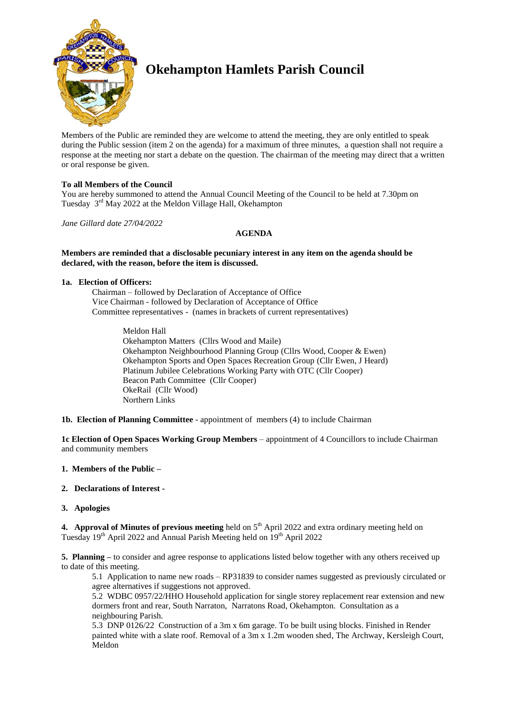

# **Okehampton Hamlets Parish Council**

Members of the Public are reminded they are welcome to attend the meeting, they are only entitled to speak during the Public session (item 2 on the agenda) for a maximum of three minutes, a question shall not require a response at the meeting nor start a debate on the question. The chairman of the meeting may direct that a written or oral response be given.

# **To all Members of the Council**

You are hereby summoned to attend the Annual Council Meeting of the Council to be held at 7.30pm on Tuesday 3<sup>rd</sup> May 2022 at the Meldon Village Hall, Okehampton

*Jane Gillard date 27/04/2022*

# **AGENDA**

#### **Members are reminded that a disclosable pecuniary interest in any item on the agenda should be declared, with the reason, before the item is discussed.**

#### **1a. Election of Officers:**

Chairman – followed by Declaration of Acceptance of Office Vice Chairman - followed by Declaration of Acceptance of Office Committee representatives - (names in brackets of current representatives)

> Meldon Hall Okehampton Matters (Cllrs Wood and Maile) Okehampton Neighbourhood Planning Group (Cllrs Wood, Cooper & Ewen) Okehampton Sports and Open Spaces Recreation Group (Cllr Ewen, J Heard) Platinum Jubilee Celebrations Working Party with OTC (Cllr Cooper) Beacon Path Committee (Cllr Cooper) OkeRail (Cllr Wood) Northern Links

**1b. Election of Planning Committee** - appointment of members (4) to include Chairman

**1c Election of Open Spaces Working Group Members** – appointment of 4 Councillors to include Chairman and community members

#### **1. Members of the Public –**

#### **2. Declarations of Interest -**

#### **3. Apologies**

**4. Approval of Minutes of previous meeting** held on 5<sup>th</sup> April 2022 and extra ordinary meeting held on Tuesday  $19<sup>th</sup>$  April 2022 and Annual Parish Meeting held on  $19<sup>th</sup>$  April 2022

**5. Planning –** to consider and agree response to applications listed below together with any others received up to date of this meeting.

5.1 Application to name new roads – RP31839 to consider names suggested as previously circulated or agree alternatives if suggestions not approved.

5.2 WDBC 0957/22/HHO Household application for single storey replacement rear extension and new dormers front and rear, South Narraton, Narratons Road, Okehampton. Consultation as a neighbouring Parish.

5.3 DNP 0126/22 Construction of a 3m x 6m garage. To be built using blocks. Finished in Render painted white with a slate roof. Removal of a 3m x 1.2m wooden shed, The Archway, Kersleigh Court, Meldon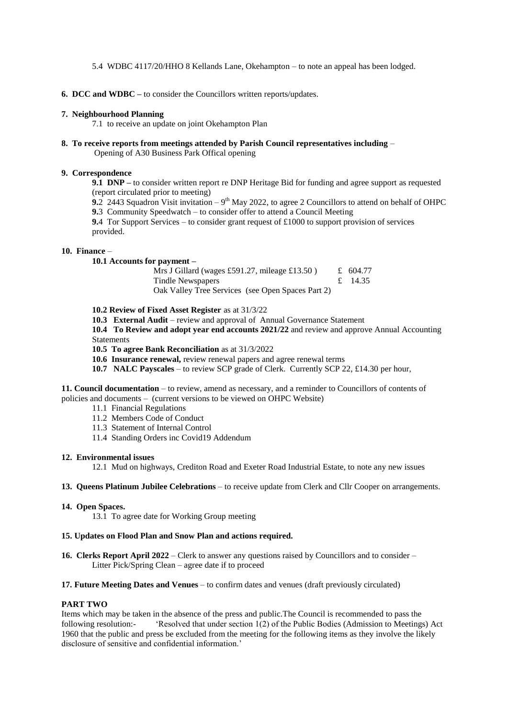5.4 WDBC 4117/20/HHO 8 Kellands Lane, Okehampton – to note an appeal has been lodged.

**6. DCC and WDBC –** to consider the Councillors written reports/updates.

#### **7. Neighbourhood Planning**

7.1 to receive an update on joint Okehampton Plan

**8. To receive reports from meetings attended by Parish Council representatives including** – Opening of A30 Business Park Offical opening

#### **9. Correspondence**

**9.1 DNP –** to consider written report re DNP Heritage Bid for funding and agree support as requested (report circulated prior to meeting)

**9.**2 2443 Squadron Visit invitation  $-9<sup>th</sup>$  May 2022, to agree 2 Councillors to attend on behalf of OHPC

**9.**3 Community Speedwatch – to consider offer to attend a Council Meeting

**9.**4 Tor Support Services – to consider grant request of £1000 to support provision of services provided.

#### **10. Finance** –

**10.1 Accounts for payment –**

| Mrs J Gillard (wages £591.27, mileage £13.50)     | £ 604.77 |
|---------------------------------------------------|----------|
| Tindle Newspapers                                 | £ 14.35  |
| Oak Valley Tree Services (see Open Spaces Part 2) |          |

**10.2 Review of Fixed Asset Register** as at 31/3/22

**10.3 External Audit** – review and approval of Annual Governance Statement

**10.4 To Review and adopt year end accounts 2021/22** and review and approve Annual Accounting Statements

- **10.5 To agree Bank Reconciliation** as at 31/3/2022
- **10.6 Insurance renewal,** review renewal papers and agree renewal terms
- **10.7 NALC Payscales** to review SCP grade of Clerk. Currently SCP 22, £14.30 per hour,

**11. Council documentation** – to review, amend as necessary, and a reminder to Councillors of contents of policies and documents – (current versions to be viewed on OHPC Website)

- 11.1 Financial Regulations
- 11.2 Members Code of Conduct
- 11.3 Statement of Internal Control
- 11.4 Standing Orders inc Covid19 Addendum

#### **12. Environmental issues**

12.1 Mud on highways, Crediton Road and Exeter Road Industrial Estate, to note any new issues

#### **13. Queens Platinum Jubilee Celebrations** – to receive update from Clerk and Cllr Cooper on arrangements.

#### **14. Open Spaces.**

13.1 To agree date for Working Group meeting

#### **15. Updates on Flood Plan and Snow Plan and actions required.**

**16. Clerks Report April 2022** – Clerk to answer any questions raised by Councillors and to consider – Litter Pick/Spring Clean – agree date if to proceed

#### **17. Future Meeting Dates and Venues** – to confirm dates and venues (draft previously circulated)

#### **PART TWO**

Items which may be taken in the absence of the press and public.The Council is recommended to pass the following resolution:- 'Resolved that under section 1(2) of the Public Bodies (Admission to Meetings) Act 1960 that the public and press be excluded from the meeting for the following items as they involve the likely disclosure of sensitive and confidential information.'